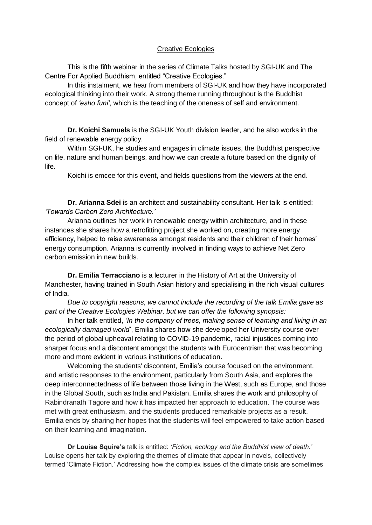## Creative Ecologies

This is the fifth webinar in the series of Climate Talks hosted by SGI-UK and The Centre For Applied Buddhism, entitled "Creative Ecologies."

In this instalment, we hear from members of SGI-UK and how they have incorporated ecological thinking into their work. A strong theme running throughout is the Buddhist concept of *'esho funi'*, which is the teaching of the oneness of self and environment.

**Dr. Koichi Samuels** is the SGI-UK Youth division leader, and he also works in the field of renewable energy policy.

Within SGI-UK, he studies and engages in climate issues, the Buddhist perspective on life, nature and human beings, and how we can create a future based on the dignity of life.

Koichi is emcee for this event, and fields questions from the viewers at the end.

**Dr. Arianna Sdei** is an architect and sustainability consultant. Her talk is entitled: *'Towards Carbon Zero Architecture.'* 

Arianna outlines her work in renewable energy within architecture, and in these instances she shares how a retrofitting project she worked on, creating more energy efficiency, helped to raise awareness amongst residents and their children of their homes' energy consumption. Arianna is currently involved in finding ways to achieve Net Zero carbon emission in new builds.

**Dr. Emilia Terracciano** is a lecturer in the History of Art at the University of Manchester, having trained in South Asian history and specialising in the rich visual cultures of India.

*Due to copyright reasons, we cannot include the recording of the talk Emilia gave as part of the Creative Ecologies Webinar, but we can offer the following synopsis:*

In her talk entitled, *'In the company of trees, making sense of learning and living in an ecologically damaged world*', Emilia shares how she developed her University course over the period of global upheaval relating to COVID-19 pandemic, racial injustices coming into sharper focus and a discontent amongst the students with Eurocentrism that was becoming more and more evident in various institutions of education.

Welcoming the students' discontent, Emilia's course focused on the environment, and artistic responses to the environment, particularly from South Asia, and explores the deep interconnectedness of life between those living in the West, such as Europe, and those in the Global South, such as India and Pakistan. Emilia shares the work and philosophy of Rabindranath Tagore and how it has impacted her approach to education. The course was met with great enthusiasm, and the students produced remarkable projects as a result. Emilia ends by sharing her hopes that the students will feel empowered to take action based on their learning and imagination.

**Dr Louise Squire's** talk is entitled: *'Fiction, ecology and the Buddhist view of death.'* Louise opens her talk by exploring the themes of climate that appear in novels, collectively termed 'Climate Fiction.' Addressing how the complex issues of the climate crisis are sometimes